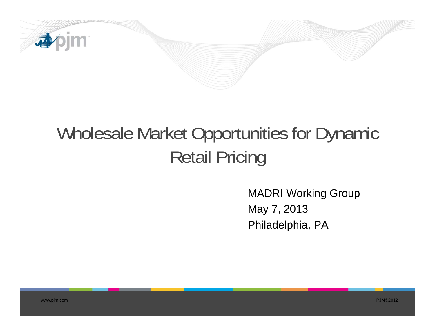

# Wholesale Market Opportunities for Dynamic Retail Pricing

MADRI Working Group May 7, 2013 Philadelphia, PA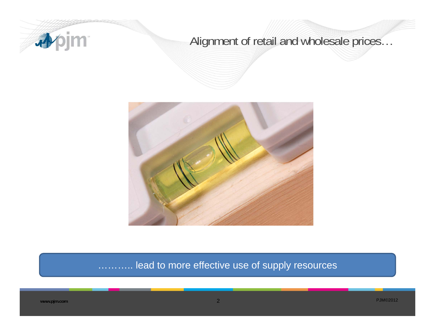

## Alignment of retail and wholesale prices…



#### lead to more effective use of supply resources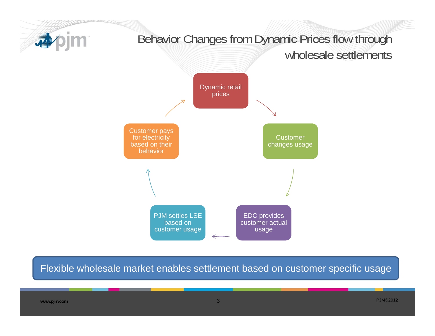

Flexible wholesale market enables settlement based on customer specific usage

**www.pjm.com**

PJM©2012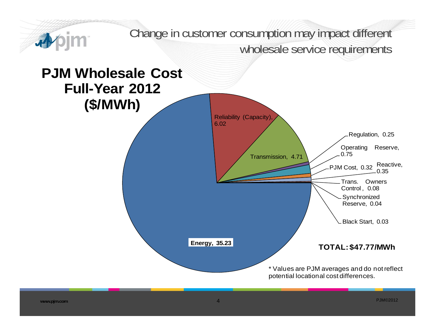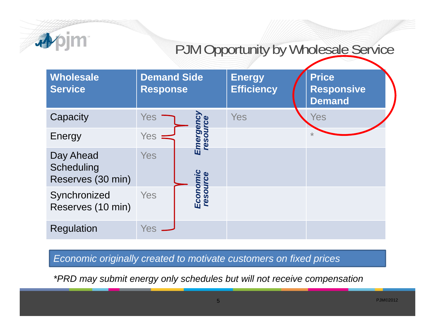

# PJM Opportunity by Wholesale Service

| <b>Wholesale</b><br><b>Service</b>           | <b>Demand Side</b><br><b>Response</b>           | <b>Energy</b><br><b>Efficiency</b> | <b>Price</b><br><b>Responsive</b><br><b>Demand</b> |
|----------------------------------------------|-------------------------------------------------|------------------------------------|----------------------------------------------------|
| Capacity                                     | <b>Yes</b>                                      | Yes                                | Yes                                                |
| Energy                                       | Emergenc <sub>)</sub><br>resource<br><b>Yes</b> |                                    | $\star$                                            |
| Day Ahead<br>Scheduling<br>Reserves (30 min) | <b>Yes</b>                                      |                                    |                                                    |
| Synchronized<br>Reserves (10 min)            | Economic<br>resource<br>Yes                     |                                    |                                                    |
| <b>Regulation</b>                            | Yes                                             |                                    |                                                    |

*Economic originally created to motivate customers on fixed prices*

*\*PRD may submit energy only schedules but will not receive compensation*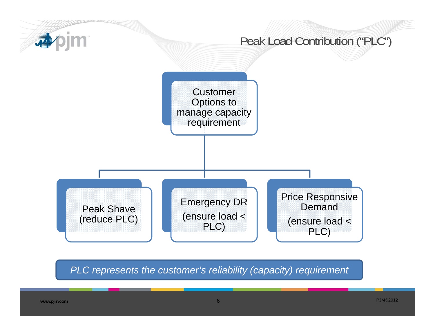

*PLC represents the customer's reliability (capacity) requirement*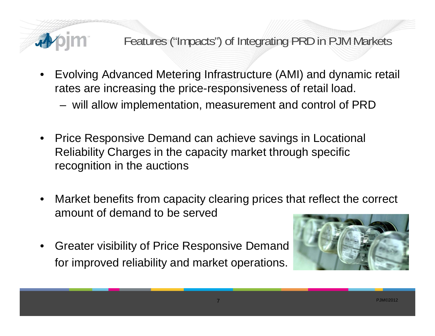### Features ("Impacts") of Integrating PRD in PJM Markets

- • Evolving Advanced Metering Infrastructure (AMI) and dynamic retail rates are increasing the price-responsiveness of retail load.
	- will allow implementation, measurement and control of PRD
- $\bullet$  Price Responsive Demand can achieve savings in Locational Reliability Charges in the capacity market through specific recognition in the auctions
- • Market benefits from capacity clearing prices that reflect the correct amount of demand to be served

7

• Greater visibility of Price Responsive Demand for improved reliability and market operations.

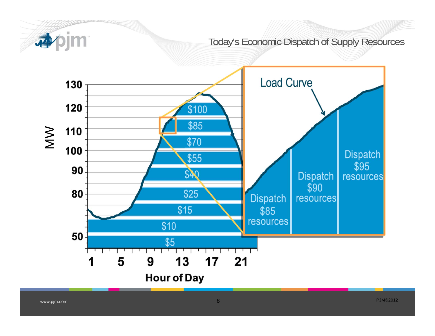